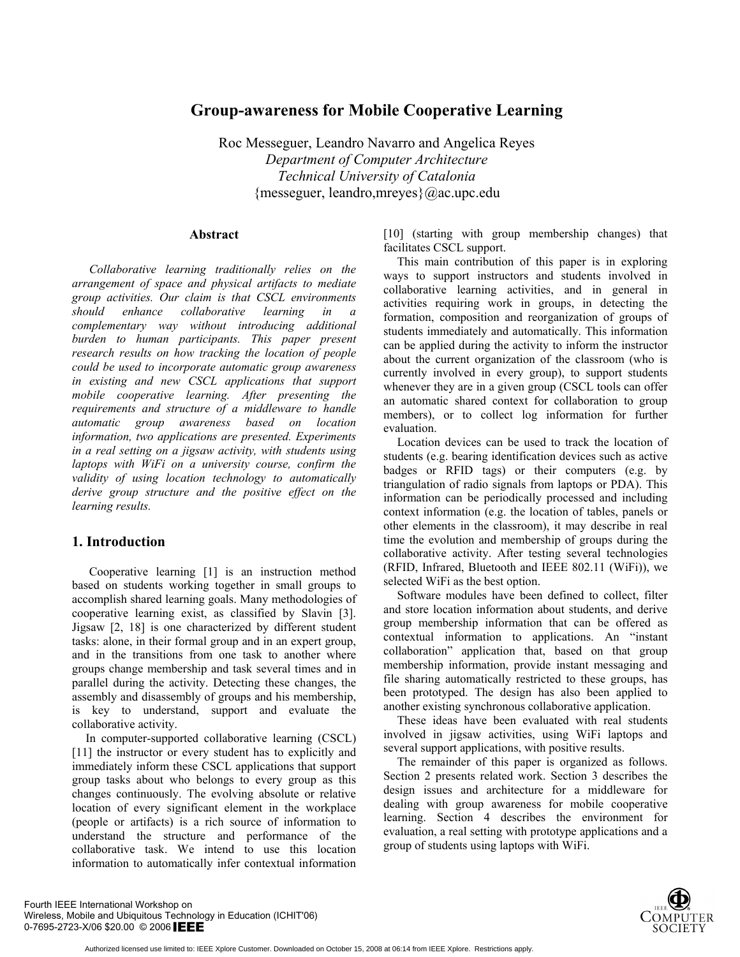# **Group-awareness for Mobile Cooperative Learning**

Roc Messeguer, Leandro Navarro and Angelica Reyes *Department of Computer Architecture Technical University of Catalonia*  {messeguer, leandro,mreyes}@ac.upc.edu

### **Abstract**

*Collaborative learning traditionally relies on the arrangement of space and physical artifacts to mediate group activities. Our claim is that CSCL environments should enhance collaborative learning in a complementary way without introducing additional burden to human participants. This paper present research results on how tracking the location of people could be used to incorporate automatic group awareness in existing and new CSCL applications that support mobile cooperative learning. After presenting the requirements and structure of a middleware to handle automatic group awareness based on location information, two applications are presented. Experiments in a real setting on a jigsaw activity, with students using laptops with WiFi on a university course, confirm the validity of using location technology to automatically derive group structure and the positive effect on the learning results.* 

# **1. Introduction**

Cooperative learning [1] is an instruction method based on students working together in small groups to accomplish shared learning goals. Many methodologies of cooperative learning exist, as classified by Slavin [3]. Jigsaw [2, 18] is one characterized by different student tasks: alone, in their formal group and in an expert group, and in the transitions from one task to another where groups change membership and task several times and in parallel during the activity. Detecting these changes, the assembly and disassembly of groups and his membership, is key to understand, support and evaluate the collaborative activity.

In computer-supported collaborative learning (CSCL) [11] the instructor or every student has to explicitly and immediately inform these CSCL applications that support group tasks about who belongs to every group as this changes continuously. The evolving absolute or relative location of every significant element in the workplace (people or artifacts) is a rich source of information to understand the structure and performance of the collaborative task. We intend to use this location information to automatically infer contextual information

[10] (starting with group membership changes) that facilitates CSCL support.

This main contribution of this paper is in exploring ways to support instructors and students involved in collaborative learning activities, and in general in activities requiring work in groups, in detecting the formation, composition and reorganization of groups of students immediately and automatically. This information can be applied during the activity to inform the instructor about the current organization of the classroom (who is currently involved in every group), to support students whenever they are in a given group (CSCL tools can offer an automatic shared context for collaboration to group members), or to collect log information for further evaluation.

Location devices can be used to track the location of students (e.g. bearing identification devices such as active badges or RFID tags) or their computers (e.g. by triangulation of radio signals from laptops or PDA). This information can be periodically processed and including context information (e.g. the location of tables, panels or other elements in the classroom), it may describe in real time the evolution and membership of groups during the collaborative activity. After testing several technologies (RFID, Infrared, Bluetooth and IEEE 802.11 (WiFi)), we selected WiFi as the best option.

Software modules have been defined to collect, filter and store location information about students, and derive group membership information that can be offered as contextual information to applications. An "instant collaboration" application that, based on that group membership information, provide instant messaging and file sharing automatically restricted to these groups, has been prototyped. The design has also been applied to another existing synchronous collaborative application.

These ideas have been evaluated with real students involved in jigsaw activities, using WiFi laptops and several support applications, with positive results.

The remainder of this paper is organized as follows. Section 2 presents related work. Section 3 describes the design issues and architecture for a middleware for dealing with group awareness for mobile cooperative learning. Section 4 describes the environment for evaluation, a real setting with prototype applications and a group of students using laptops with WiFi.



Authorized licensed use limited to: IEEE Xplore Customer. Downloaded on October 15, 2008 at 06:14 from IEEE Xplore. Restrictions apply.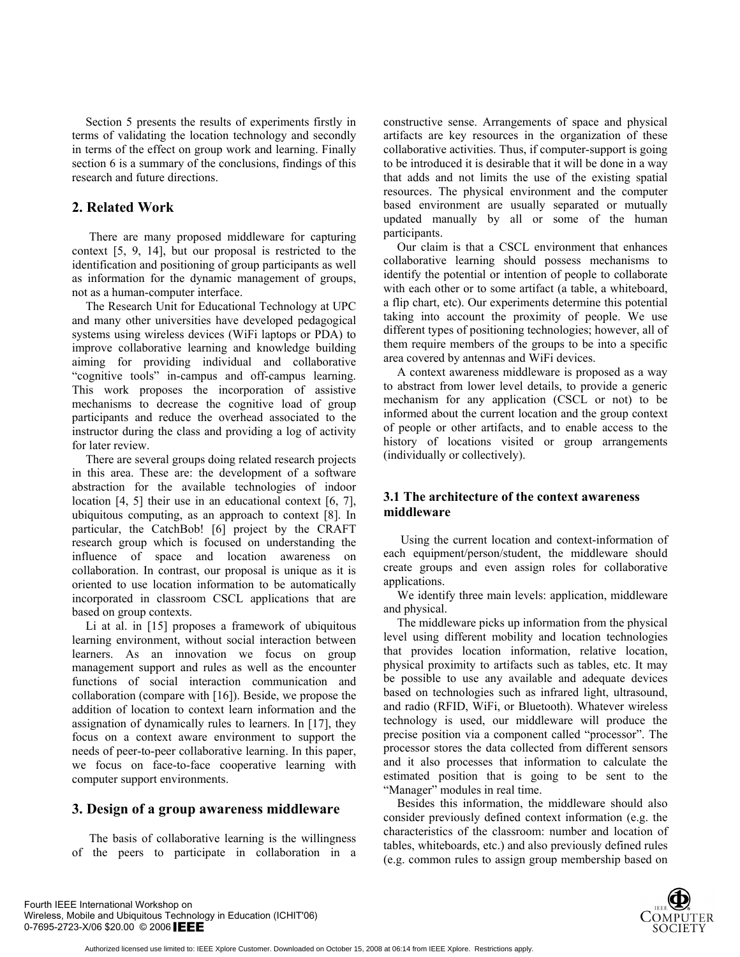Section 5 presents the results of experiments firstly in terms of validating the location technology and secondly in terms of the effect on group work and learning. Finally section 6 is a summary of the conclusions, findings of this research and future directions.

### **2. Related Work**

There are many proposed middleware for capturing context [5, 9, 14], but our proposal is restricted to the identification and positioning of group participants as well as information for the dynamic management of groups, not as a human-computer interface.

The Research Unit for Educational Technology at UPC and many other universities have developed pedagogical systems using wireless devices (WiFi laptops or PDA) to improve collaborative learning and knowledge building aiming for providing individual and collaborative "cognitive tools" in-campus and off-campus learning. This work proposes the incorporation of assistive mechanisms to decrease the cognitive load of group participants and reduce the overhead associated to the instructor during the class and providing a log of activity for later review.

There are several groups doing related research projects in this area. These are: the development of a software abstraction for the available technologies of indoor location [4, 5] their use in an educational context [6, 7], ubiquitous computing, as an approach to context [8]. In particular, the CatchBob! [6] project by the CRAFT research group which is focused on understanding the influence of space and location awareness on collaboration. In contrast, our proposal is unique as it is oriented to use location information to be automatically incorporated in classroom CSCL applications that are based on group contexts.

Li at al. in [15] proposes a framework of ubiquitous learning environment, without social interaction between learners. As an innovation we focus on group management support and rules as well as the encounter functions of social interaction communication and collaboration (compare with [16]). Beside, we propose the addition of location to context learn information and the assignation of dynamically rules to learners. In [17], they focus on a context aware environment to support the needs of peer-to-peer collaborative learning. In this paper, we focus on face-to-face cooperative learning with computer support environments.

### **3. Design of a group awareness middleware**

The basis of collaborative learning is the willingness of the peers to participate in collaboration in a constructive sense. Arrangements of space and physical artifacts are key resources in the organization of these collaborative activities. Thus, if computer-support is going to be introduced it is desirable that it will be done in a way that adds and not limits the use of the existing spatial resources. The physical environment and the computer based environment are usually separated or mutually updated manually by all or some of the human participants.

Our claim is that a CSCL environment that enhances collaborative learning should possess mechanisms to identify the potential or intention of people to collaborate with each other or to some artifact (a table, a whiteboard, a flip chart, etc). Our experiments determine this potential taking into account the proximity of people. We use different types of positioning technologies; however, all of them require members of the groups to be into a specific area covered by antennas and WiFi devices.

A context awareness middleware is proposed as a way to abstract from lower level details, to provide a generic mechanism for any application (CSCL or not) to be informed about the current location and the group context of people or other artifacts, and to enable access to the history of locations visited or group arrangements (individually or collectively).

### **3.1 The architecture of the context awareness middleware**

Using the current location and context-information of each equipment/person/student, the middleware should create groups and even assign roles for collaborative applications.

We identify three main levels: application, middleware and physical.

The middleware picks up information from the physical level using different mobility and location technologies that provides location information, relative location, physical proximity to artifacts such as tables, etc. It may be possible to use any available and adequate devices based on technologies such as infrared light, ultrasound, and radio (RFID, WiFi, or Bluetooth). Whatever wireless technology is used, our middleware will produce the precise position via a component called "processor". The processor stores the data collected from different sensors and it also processes that information to calculate the estimated position that is going to be sent to the "Manager" modules in real time.

Besides this information, the middleware should also consider previously defined context information (e.g. the characteristics of the classroom: number and location of tables, whiteboards, etc.) and also previously defined rules (e.g. common rules to assign group membership based on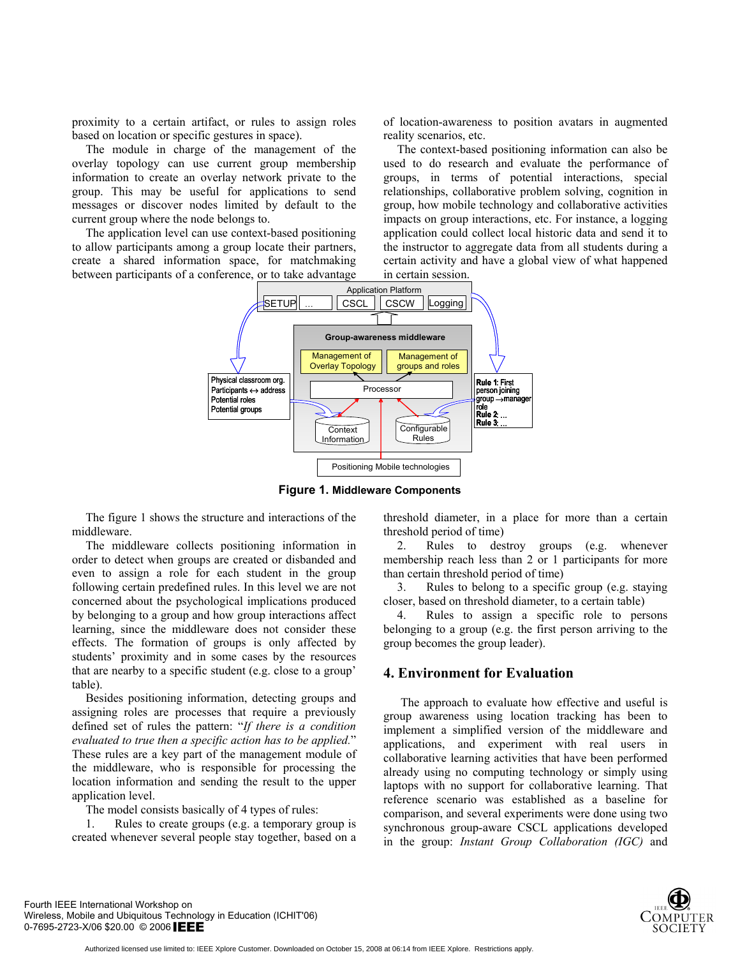proximity to a certain artifact, or rules to assign roles based on location or specific gestures in space).

The module in charge of the management of the overlay topology can use current group membership information to create an overlay network private to the group. This may be useful for applications to send messages or discover nodes limited by default to the current group where the node belongs to.

The application level can use context-based positioning to allow participants among a group locate their partners, create a shared information space, for matchmaking between participants of a conference, or to take advantage

of location-awareness to position avatars in augmented reality scenarios, etc.

The context-based positioning information can also be used to do research and evaluate the performance of groups, in terms of potential interactions, special relationships, collaborative problem solving, cognition in group, how mobile technology and collaborative activities impacts on group interactions, etc. For instance, a logging application could collect local historic data and send it to the instructor to aggregate data from all students during a certain activity and have a global view of what happened in certain session.



**Figure 1. Middleware Components**

The figure 1 shows the structure and interactions of the middleware.

The middleware collects positioning information in order to detect when groups are created or disbanded and even to assign a role for each student in the group following certain predefined rules. In this level we are not concerned about the psychological implications produced by belonging to a group and how group interactions affect learning, since the middleware does not consider these effects. The formation of groups is only affected by students' proximity and in some cases by the resources that are nearby to a specific student (e.g. close to a group' table).

Besides positioning information, detecting groups and assigning roles are processes that require a previously defined set of rules the pattern: "*If there is a condition evaluated to true then a specific action has to be applied.*" These rules are a key part of the management module of the middleware, who is responsible for processing the location information and sending the result to the upper application level.

The model consists basically of 4 types of rules:

1. Rules to create groups (e.g. a temporary group is created whenever several people stay together, based on a threshold diameter, in a place for more than a certain threshold period of time)

2. Rules to destroy groups (e.g. whenever membership reach less than 2 or 1 participants for more than certain threshold period of time)

3. Rules to belong to a specific group (e.g. staying closer, based on threshold diameter, to a certain table)

4. Rules to assign a specific role to persons belonging to a group (e.g. the first person arriving to the group becomes the group leader).

#### **4. Environment for Evaluation**

The approach to evaluate how effective and useful is group awareness using location tracking has been to implement a simplified version of the middleware and applications, and experiment with real users in collaborative learning activities that have been performed already using no computing technology or simply using laptops with no support for collaborative learning. That reference scenario was established as a baseline for comparison, and several experiments were done using two synchronous group-aware CSCL applications developed in the group: *Instant Group Collaboration (IGC)* and

Fourth IEEE International Workshop on Wireless, Mobile and Ubiquitous Technology in Education (ICHIT'06) 0-7695-2723-X/06 \$20.00 © 2006 EEE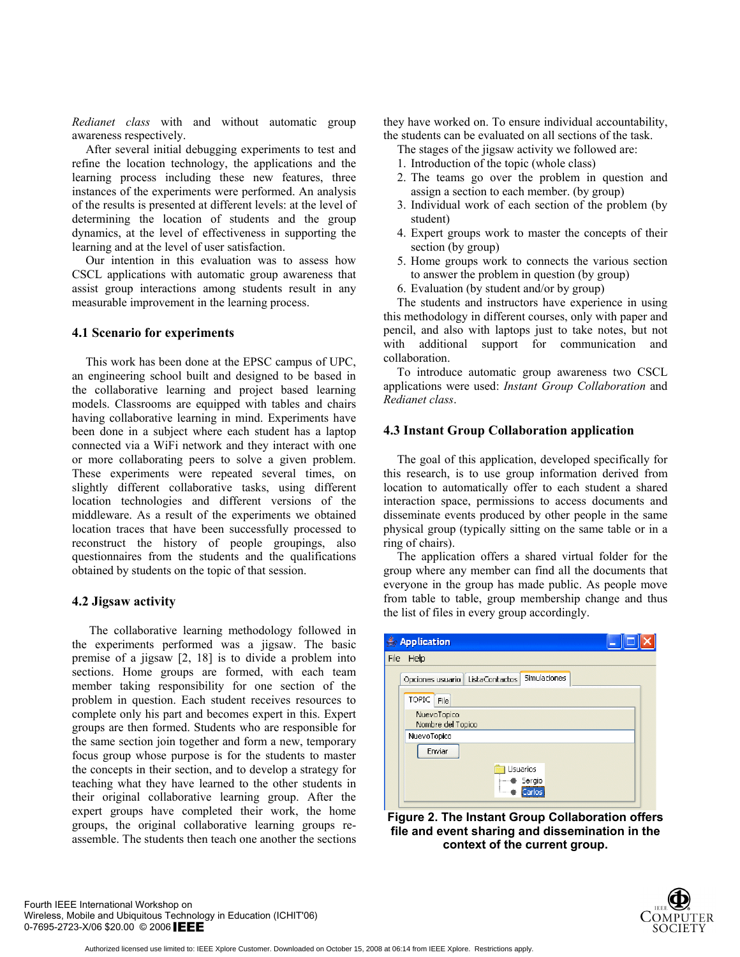*Redianet class* with and without automatic group awareness respectively.

After several initial debugging experiments to test and refine the location technology, the applications and the learning process including these new features, three instances of the experiments were performed. An analysis of the results is presented at different levels: at the level of determining the location of students and the group dynamics, at the level of effectiveness in supporting the learning and at the level of user satisfaction.

Our intention in this evaluation was to assess how CSCL applications with automatic group awareness that assist group interactions among students result in any measurable improvement in the learning process.

### **4.1 Scenario for experiments**

This work has been done at the EPSC campus of UPC, an engineering school built and designed to be based in the collaborative learning and project based learning models. Classrooms are equipped with tables and chairs having collaborative learning in mind. Experiments have been done in a subject where each student has a laptop connected via a WiFi network and they interact with one or more collaborating peers to solve a given problem. These experiments were repeated several times, on slightly different collaborative tasks, using different location technologies and different versions of the middleware. As a result of the experiments we obtained location traces that have been successfully processed to reconstruct the history of people groupings, also questionnaires from the students and the qualifications obtained by students on the topic of that session.

#### **4.2 Jigsaw activity**

The collaborative learning methodology followed in the experiments performed was a jigsaw. The basic premise of a jigsaw [2, 18] is to divide a problem into sections. Home groups are formed, with each team member taking responsibility for one section of the problem in question. Each student receives resources to complete only his part and becomes expert in this. Expert groups are then formed. Students who are responsible for the same section join together and form a new, temporary focus group whose purpose is for the students to master the concepts in their section, and to develop a strategy for teaching what they have learned to the other students in their original collaborative learning group. After the expert groups have completed their work, the home groups, the original collaborative learning groups reassemble. The students then teach one another the sections

they have worked on. To ensure individual accountability, the students can be evaluated on all sections of the task.

- The stages of the jigsaw activity we followed are:
- 1. Introduction of the topic (whole class)
- 2. The teams go over the problem in question and assign a section to each member. (by group)
- 3. Individual work of each section of the problem (by student)
- 4. Expert groups work to master the concepts of their section (by group)
- 5. Home groups work to connects the various section to answer the problem in question (by group)
- 6. Evaluation (by student and/or by group)

The students and instructors have experience in using this methodology in different courses, only with paper and pencil, and also with laptops just to take notes, but not with additional support for communication and collaboration.

To introduce automatic group awareness two CSCL applications were used: *Instant Group Collaboration* and *Redianet class*.

#### **4.3 Instant Group Collaboration application**

The goal of this application, developed specifically for this research, is to use group information derived from location to automatically offer to each student a shared interaction space, permissions to access documents and disseminate events produced by other people in the same physical group (typically sitting on the same table or in a ring of chairs).

The application offers a shared virtual folder for the group where any member can find all the documents that everyone in the group has made public. As people move from table to table, group membership change and thus the list of files in every group accordingly.

| Application                                       |  |
|---------------------------------------------------|--|
| Help<br><b>File</b>                               |  |
| Simulaciones<br>Opciones usuario   ListaContactos |  |
| TOPIC.<br>File                                    |  |
| NuevoTopico<br>Nombre del Topico                  |  |
| NuevoTopico                                       |  |
| Enviar                                            |  |
| Usuarios                                          |  |
| Sergio<br>Carlos                                  |  |

**Figure 2. The Instant Group Collaboration offers file and event sharing and dissemination in the context of the current group.** 

Fourth IEEE International Workshop on Wireless, Mobile and Ubiquitous Technology in Education (ICHIT'06) 0-7695-2723-X/06 \$20.00 © 2006 EEE



Authorized licensed use limited to: IEEE Xplore Customer. Downloaded on October 15, 2008 at 06:14 from IEEE Xplore. Restrictions apply.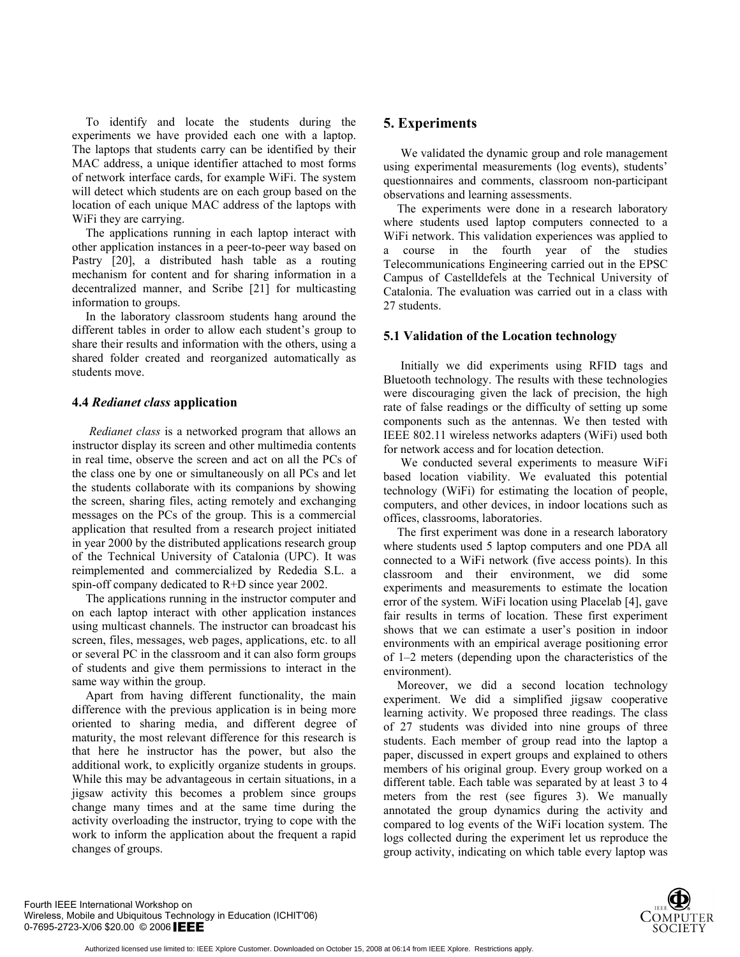To identify and locate the students during the experiments we have provided each one with a laptop. The laptops that students carry can be identified by their MAC address, a unique identifier attached to most forms of network interface cards, for example WiFi. The system will detect which students are on each group based on the location of each unique MAC address of the laptops with WiFi they are carrying.

The applications running in each laptop interact with other application instances in a peer-to-peer way based on Pastry [20], a distributed hash table as a routing mechanism for content and for sharing information in a decentralized manner, and Scribe [21] for multicasting information to groups.

In the laboratory classroom students hang around the different tables in order to allow each student's group to share their results and information with the others, using a shared folder created and reorganized automatically as students move.

#### **4.4** *Redianet class* **application**

*Redianet class* is a networked program that allows an instructor display its screen and other multimedia contents in real time, observe the screen and act on all the PCs of the class one by one or simultaneously on all PCs and let the students collaborate with its companions by showing the screen, sharing files, acting remotely and exchanging messages on the PCs of the group. This is a commercial application that resulted from a research project initiated in year 2000 by the distributed applications research group of the Technical University of Catalonia (UPC). It was reimplemented and commercialized by Rededia S.L. a spin-off company dedicated to R+D since year 2002.

The applications running in the instructor computer and on each laptop interact with other application instances using multicast channels. The instructor can broadcast his screen, files, messages, web pages, applications, etc. to all or several PC in the classroom and it can also form groups of students and give them permissions to interact in the same way within the group.

Apart from having different functionality, the main difference with the previous application is in being more oriented to sharing media, and different degree of maturity, the most relevant difference for this research is that here he instructor has the power, but also the additional work, to explicitly organize students in groups. While this may be advantageous in certain situations, in a jigsaw activity this becomes a problem since groups change many times and at the same time during the activity overloading the instructor, trying to cope with the work to inform the application about the frequent a rapid changes of groups.

### **5. Experiments**

We validated the dynamic group and role management using experimental measurements (log events), students' questionnaires and comments, classroom non-participant observations and learning assessments.

The experiments were done in a research laboratory where students used laptop computers connected to a WiFi network. This validation experiences was applied to a course in the fourth year of the studies Telecommunications Engineering carried out in the EPSC Campus of Castelldefels at the Technical University of Catalonia. The evaluation was carried out in a class with 27 students.

#### **5.1 Validation of the Location technology**

Initially we did experiments using RFID tags and Bluetooth technology. The results with these technologies were discouraging given the lack of precision, the high rate of false readings or the difficulty of setting up some components such as the antennas. We then tested with IEEE 802.11 wireless networks adapters (WiFi) used both for network access and for location detection.

We conducted several experiments to measure WiFi based location viability. We evaluated this potential technology (WiFi) for estimating the location of people, computers, and other devices, in indoor locations such as offices, classrooms, laboratories.

The first experiment was done in a research laboratory where students used 5 laptop computers and one PDA all connected to a WiFi network (five access points). In this classroom and their environment, we did some experiments and measurements to estimate the location error of the system. WiFi location using Placelab [4], gave fair results in terms of location. These first experiment shows that we can estimate a user's position in indoor environments with an empirical average positioning error of 1–2 meters (depending upon the characteristics of the environment).

Moreover, we did a second location technology experiment. We did a simplified jigsaw cooperative learning activity. We proposed three readings. The class of 27 students was divided into nine groups of three students. Each member of group read into the laptop a paper, discussed in expert groups and explained to others members of his original group. Every group worked on a different table. Each table was separated by at least 3 to 4 meters from the rest (see figures 3). We manually annotated the group dynamics during the activity and compared to log events of the WiFi location system. The logs collected during the experiment let us reproduce the group activity, indicating on which table every laptop was

Fourth IEEE International Workshop on Wireless, Mobile and Ubiquitous Technology in Education (ICHIT'06) 0-7695-2723-X/06 \$20.00 © 2006 EEE



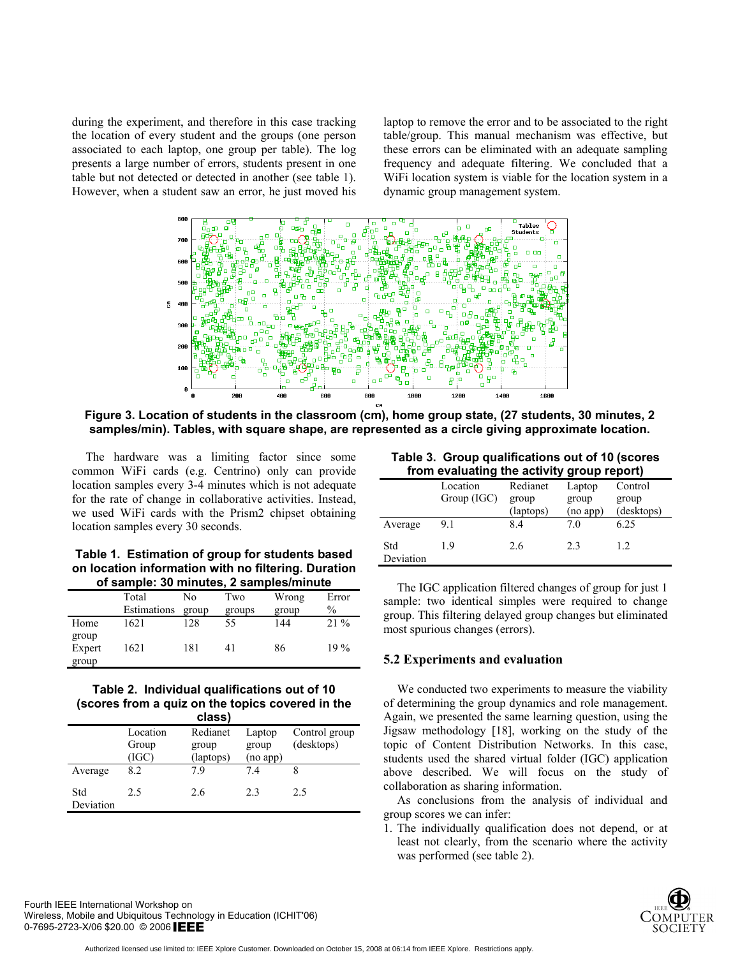during the experiment, and therefore in this case tracking the location of every student and the groups (one person associated to each laptop, one group per table). The log presents a large number of errors, students present in one table but not detected or detected in another (see table 1). However, when a student saw an error, he just moved his laptop to remove the error and to be associated to the right table/group. This manual mechanism was effective, but these errors can be eliminated with an adequate sampling frequency and adequate filtering. We concluded that a WiFi location system is viable for the location system in a dynamic group management system.



**Figure 3. Location of students in the classroom (cm), home group state, (27 students, 30 minutes, 2 samples/min). Tables, with square shape, are represented as a circle giving approximate location.** 

The hardware was a limiting factor since some common WiFi cards (e.g. Centrino) only can provide location samples every 3-4 minutes which is not adequate for the rate of change in collaborative activities. Instead, we used WiFi cards with the Prism2 chipset obtaining location samples every 30 seconds.

| Table 1. Estimation of group for students based     |
|-----------------------------------------------------|
| on location information with no filtering. Duration |
| of sample: 30 minutes, 2 samples/minute             |

|                          | Total<br>Estimations | No<br>group | Two<br>groups | Wrong<br>group | Error<br>$\frac{0}{0}$ |
|--------------------------|----------------------|-------------|---------------|----------------|------------------------|
| Home                     | 1621                 | 128         | 55            | 144            | $21\%$                 |
| group<br>Expert<br>group | 1621                 | 181         | 41            | 86             | 19%                    |

# **Table 2. Individual qualifications out of 10 (scores from a quiz on the topics covered in the**

|                  |                            | class)                         |                                  |                             |
|------------------|----------------------------|--------------------------------|----------------------------------|-----------------------------|
|                  | Location<br>Group<br>(IGC) | Redianet<br>group<br>(laptops) | Laptop<br>group<br>$(no$ app $)$ | Control group<br>(desktops) |
| Average          | 8.2                        | 79                             | 74                               | 8                           |
| Std<br>Deviation | 2.5                        | 2.6                            | 2.3                              | 2.5                         |

| Table 3. Group qualifications out of 10 (scores |  |
|-------------------------------------------------|--|
| from evaluating the activity group report)      |  |

| <b>Hold crainating the activity group report</b> |             |           |               |            |
|--------------------------------------------------|-------------|-----------|---------------|------------|
|                                                  | Location    | Redianet  | Laptop        | Control    |
|                                                  | Group (IGC) | group     | group         | group      |
|                                                  |             | (laptops) | $(no$ app $)$ | (desktops) |
| Average                                          | 91          | 8.4       | 7.0           | 6.25       |
| Std<br>Deviation                                 | 19          | 2.6       | 2.3           | 12.        |
|                                                  |             |           |               |            |

The IGC application filtered changes of group for just 1 sample: two identical simples were required to change group. This filtering delayed group changes but eliminated most spurious changes (errors).

#### **5.2 Experiments and evaluation**

We conducted two experiments to measure the viability of determining the group dynamics and role management. Again, we presented the same learning question, using the Jigsaw methodology [18], working on the study of the topic of Content Distribution Networks. In this case, students used the shared virtual folder (IGC) application above described. We will focus on the study of collaboration as sharing information.

As conclusions from the analysis of individual and group scores we can infer:

1. The individually qualification does not depend, or at least not clearly, from the scenario where the activity was performed (see table 2).



Fourth IEEE International Workshop on Wireless, Mobile and Ubiquitous Technology in Education (ICHIT'06) 0-7695-2723-X/06 \$20.00 © 2006 EEE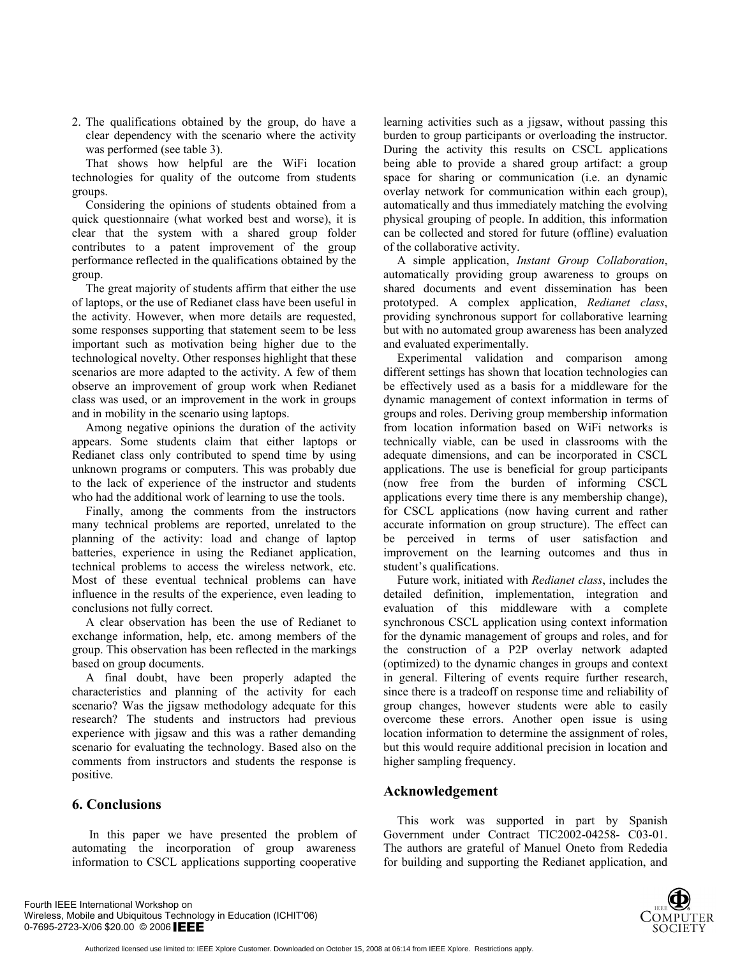2. The qualifications obtained by the group, do have a clear dependency with the scenario where the activity was performed (see table 3).

That shows how helpful are the WiFi location technologies for quality of the outcome from students groups.

Considering the opinions of students obtained from a quick questionnaire (what worked best and worse), it is clear that the system with a shared group folder contributes to a patent improvement of the group performance reflected in the qualifications obtained by the group.

The great majority of students affirm that either the use of laptops, or the use of Redianet class have been useful in the activity. However, when more details are requested, some responses supporting that statement seem to be less important such as motivation being higher due to the technological novelty. Other responses highlight that these scenarios are more adapted to the activity. A few of them observe an improvement of group work when Redianet class was used, or an improvement in the work in groups and in mobility in the scenario using laptops.

Among negative opinions the duration of the activity appears. Some students claim that either laptops or Redianet class only contributed to spend time by using unknown programs or computers. This was probably due to the lack of experience of the instructor and students who had the additional work of learning to use the tools.

Finally, among the comments from the instructors many technical problems are reported, unrelated to the planning of the activity: load and change of laptop batteries, experience in using the Redianet application, technical problems to access the wireless network, etc. Most of these eventual technical problems can have influence in the results of the experience, even leading to conclusions not fully correct.

A clear observation has been the use of Redianet to exchange information, help, etc. among members of the group. This observation has been reflected in the markings based on group documents.

A final doubt, have been properly adapted the characteristics and planning of the activity for each scenario? Was the jigsaw methodology adequate for this research? The students and instructors had previous experience with jigsaw and this was a rather demanding scenario for evaluating the technology. Based also on the comments from instructors and students the response is positive.

### **6. Conclusions**

In this paper we have presented the problem of automating the incorporation of group awareness information to CSCL applications supporting cooperative learning activities such as a jigsaw, without passing this burden to group participants or overloading the instructor. During the activity this results on CSCL applications being able to provide a shared group artifact: a group space for sharing or communication (i.e. an dynamic overlay network for communication within each group), automatically and thus immediately matching the evolving physical grouping of people. In addition, this information can be collected and stored for future (offline) evaluation of the collaborative activity.

A simple application, *Instant Group Collaboration*, automatically providing group awareness to groups on shared documents and event dissemination has been prototyped. A complex application, *Redianet class*, providing synchronous support for collaborative learning but with no automated group awareness has been analyzed and evaluated experimentally.

Experimental validation and comparison among different settings has shown that location technologies can be effectively used as a basis for a middleware for the dynamic management of context information in terms of groups and roles. Deriving group membership information from location information based on WiFi networks is technically viable, can be used in classrooms with the adequate dimensions, and can be incorporated in CSCL applications. The use is beneficial for group participants (now free from the burden of informing CSCL applications every time there is any membership change), for CSCL applications (now having current and rather accurate information on group structure). The effect can be perceived in terms of user satisfaction and improvement on the learning outcomes and thus in student's qualifications.

Future work, initiated with *Redianet class*, includes the detailed definition, implementation, integration and evaluation of this middleware with a complete synchronous CSCL application using context information for the dynamic management of groups and roles, and for the construction of a P2P overlay network adapted (optimized) to the dynamic changes in groups and context in general. Filtering of events require further research, since there is a tradeoff on response time and reliability of group changes, however students were able to easily overcome these errors. Another open issue is using location information to determine the assignment of roles, but this would require additional precision in location and higher sampling frequency.

### **Acknowledgement**

This work was supported in part by Spanish Government under Contract TIC2002-04258- C03-01. The authors are grateful of Manuel Oneto from Rededia for building and supporting the Redianet application, and



Authorized licensed use limited to: IEEE Xplore Customer. Downloaded on October 15, 2008 at 06:14 from IEEE Xplore. Restrictions apply.